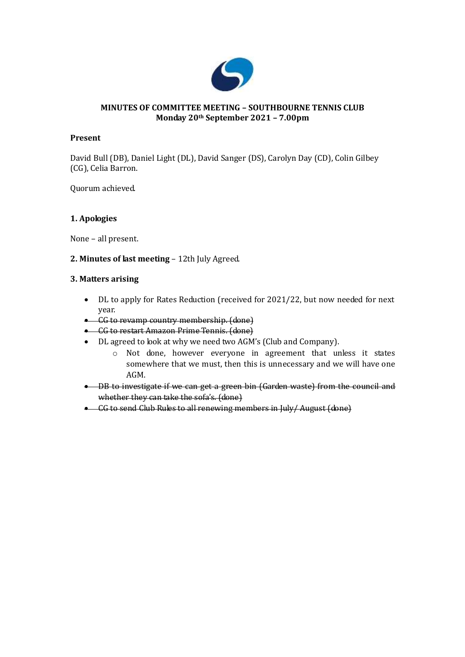

## **MINUTES OF COMMITTEE MEETING – SOUTHBOURNE TENNIS CLUB Monday 20th September 2021 – 7.00pm**

### **Present**

David Bull (DB), Daniel Light (DL), David Sanger (DS), Carolyn Day (CD), Colin Gilbey (CG), Celia Barron.

Quorum achieved.

## **1. Apologies**

None – all present.

## **2. Minutes of last meeting** – 12th July Agreed.

#### **3. Matters arising**

- DL to apply for Rates Reduction (received for 2021/22, but now needed for next year.
- CG to revamp country membership. (done)
- **•** CG to restart Amazon Prime Tennis. (done)
- DL agreed to look at why we need two AGM's (Club and Company).
	- o Not done, however everyone in agreement that unless it states somewhere that we must, then this is unnecessary and we will have one AGM.
- DB to investigate if we can get a green bin (Garden waste) from the council and whether they can take the sofa's. (done)
- CG to send Club Rules to all renewing members in July/August (done)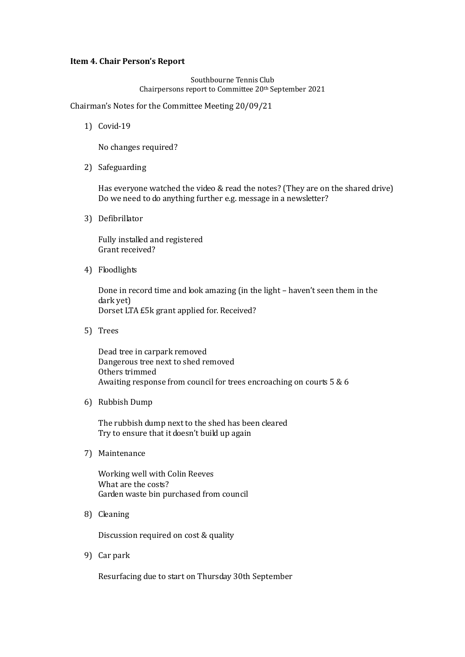#### **Item 4. Chair Person's Report**

Southbourne Tennis Club Chairpersons report to Committee 20th September 2021

Chairman's Notes for the Committee Meeting 20/09/21

1) Covid-19

No changes required?

2) Safeguarding

Has everyone watched the video & read the notes? (They are on the shared drive) Do we need to do anything further e.g. message in a newsletter?

3) Defibrillator

Fully installed and registered Grant received?

4) Floodlights

Done in record time and look amazing (in the light – haven't seen them in the dark yet) Dorset LTA £5k grant applied for. Received?

5) Trees

Dead tree in carpark removed Dangerous tree next to shed removed Others trimmed Awaiting response from council for trees encroaching on courts 5 & 6

6) Rubbish Dump

The rubbish dump next to the shed has been cleared Try to ensure that it doesn't build up again

7) Maintenance

Working well with Colin Reeves What are the costs? Garden waste bin purchased from council

8) Cleaning

Discussion required on cost & quality

9) Car park

Resurfacing due to start on Thursday 30th September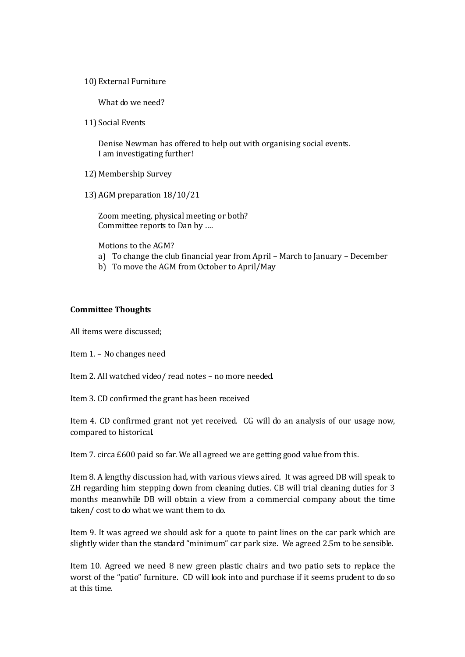10) External Furniture

What do we need?

11) Social Events

Denise Newman has offered to help out with organising social events. I am investigating further!

- 12) Membership Survey
- 13) AGM preparation 18/10/21

Zoom meeting, physical meeting or both? Committee reports to Dan by ….

- Motions to the AGM?
- a) To change the club financial year from April March to January December
- b) To move the AGM from October to April/May

#### **Committee Thoughts**

All items were discussed;

Item 1. – No changes need

Item 2. All watched video/ read notes – no more needed.

Item 3. CD confirmed the grant has been received

Item 4. CD confirmed grant not yet received. CG will do an analysis of our usage now, compared to historical.

Item 7. circa £600 paid so far. We all agreed we are getting good value from this.

Item 8. A lengthy discussion had, with various views aired. It was agreed DB will speak to ZH regarding him stepping down from cleaning duties. CB will trial cleaning duties for 3 months meanwhile DB will obtain a view from a commercial company about the time taken/ cost to do what we want them to do.

Item 9. It was agreed we should ask for a quote to paint lines on the car park which are slightly wider than the standard "minimum" car park size. We agreed 2.5m to be sensible.

Item 10. Agreed we need 8 new green plastic chairs and two patio sets to replace the worst of the "patio" furniture. CD will look into and purchase if it seems prudent to do so at this time.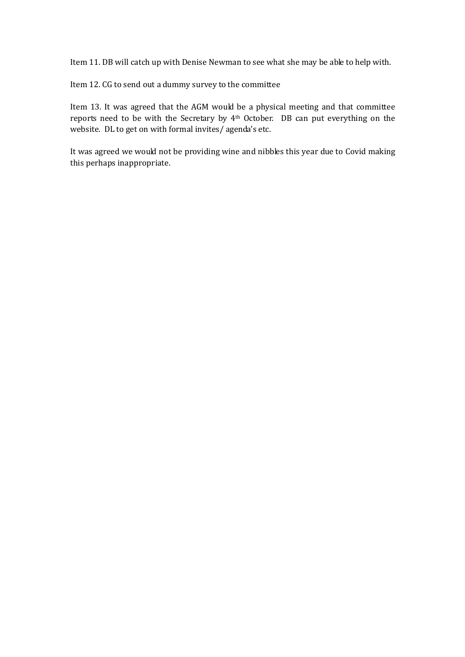Item 11. DB will catch up with Denise Newman to see what she may be able to help with.

Item 12. CG to send out a dummy survey to the committee

Item 13. It was agreed that the AGM would be a physical meeting and that committee reports need to be with the Secretary by 4th October. DB can put everything on the website. DL to get on with formal invites/ agenda's etc.

It was agreed we would not be providing wine and nibbles this year due to Covid making this perhaps inappropriate.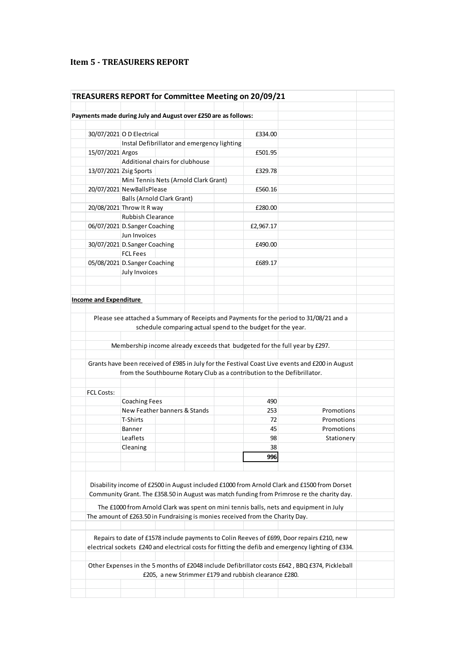# **Item 5 - TREASURERS REPORT**

|                                                                |                                             |  | TREASURERS REPORT for Committee Meeting on 20/09/21                           |                                                                                                                                                                                                                                                                                     |
|----------------------------------------------------------------|---------------------------------------------|--|-------------------------------------------------------------------------------|-------------------------------------------------------------------------------------------------------------------------------------------------------------------------------------------------------------------------------------------------------------------------------------|
|                                                                |                                             |  |                                                                               |                                                                                                                                                                                                                                                                                     |
| Payments made during July and August over £250 are as follows: |                                             |  |                                                                               |                                                                                                                                                                                                                                                                                     |
|                                                                |                                             |  |                                                                               |                                                                                                                                                                                                                                                                                     |
| 30/07/2021 O D Electrical                                      |                                             |  | £334.00                                                                       |                                                                                                                                                                                                                                                                                     |
|                                                                | Instal Defibrillator and emergency lighting |  |                                                                               |                                                                                                                                                                                                                                                                                     |
| 15/07/2021 Argos                                               |                                             |  | £501.95                                                                       |                                                                                                                                                                                                                                                                                     |
|                                                                | Additional chairs for clubhouse             |  |                                                                               |                                                                                                                                                                                                                                                                                     |
| 13/07/2021 Zsig Sports                                         |                                             |  | £329.78                                                                       |                                                                                                                                                                                                                                                                                     |
|                                                                | Mini Tennis Nets (Arnold Clark Grant)       |  |                                                                               |                                                                                                                                                                                                                                                                                     |
| 20/07/2021 NewBallsPlease                                      |                                             |  | £560.16                                                                       |                                                                                                                                                                                                                                                                                     |
|                                                                | <b>Balls (Arnold Clark Grant)</b>           |  |                                                                               |                                                                                                                                                                                                                                                                                     |
| 20/08/2021 Throw It R way                                      |                                             |  | £280.00                                                                       |                                                                                                                                                                                                                                                                                     |
|                                                                | <b>Rubbish Clearance</b>                    |  |                                                                               |                                                                                                                                                                                                                                                                                     |
| 06/07/2021 D.Sanger Coaching                                   |                                             |  | £2,967.17                                                                     |                                                                                                                                                                                                                                                                                     |
|                                                                | Jun Invoices                                |  |                                                                               |                                                                                                                                                                                                                                                                                     |
|                                                                | 30/07/2021 D.Sanger Coaching                |  | £490.00                                                                       |                                                                                                                                                                                                                                                                                     |
|                                                                | <b>FCL Fees</b>                             |  |                                                                               |                                                                                                                                                                                                                                                                                     |
| 05/08/2021 D.Sanger Coaching                                   |                                             |  | £689.17                                                                       |                                                                                                                                                                                                                                                                                     |
|                                                                | July Invoices                               |  |                                                                               |                                                                                                                                                                                                                                                                                     |
|                                                                |                                             |  |                                                                               |                                                                                                                                                                                                                                                                                     |
|                                                                |                                             |  |                                                                               |                                                                                                                                                                                                                                                                                     |
| <b>Income and Expenditure</b>                                  |                                             |  |                                                                               |                                                                                                                                                                                                                                                                                     |
|                                                                |                                             |  |                                                                               | Please see attached a Summary of Receipts and Payments for the period to 31/08/21 and a                                                                                                                                                                                             |
|                                                                |                                             |  | schedule comparing actual spend to the budget for the year.                   |                                                                                                                                                                                                                                                                                     |
|                                                                |                                             |  |                                                                               | Membership income already exceeds that budgeted for the full year by £297.                                                                                                                                                                                                          |
|                                                                |                                             |  |                                                                               | Grants have been received of £985 in July for the Festival Coast Live events and £200 in August<br>from the Southbourne Rotary Club as a contribution to the Defibrillator.                                                                                                         |
|                                                                |                                             |  |                                                                               |                                                                                                                                                                                                                                                                                     |
| <b>FCL Costs:</b>                                              |                                             |  |                                                                               |                                                                                                                                                                                                                                                                                     |
|                                                                | <b>Coaching Fees</b>                        |  | 490                                                                           |                                                                                                                                                                                                                                                                                     |
|                                                                | New Feather banners & Stands                |  | 253                                                                           | Promotions                                                                                                                                                                                                                                                                          |
|                                                                | T-Shirts                                    |  | 72                                                                            | Promotions                                                                                                                                                                                                                                                                          |
|                                                                | <b>Banner</b>                               |  | 45                                                                            | Promotions                                                                                                                                                                                                                                                                          |
|                                                                | Leaflets                                    |  | 98                                                                            | Stationery                                                                                                                                                                                                                                                                          |
|                                                                | Cleaning                                    |  | 38                                                                            |                                                                                                                                                                                                                                                                                     |
|                                                                |                                             |  | 996                                                                           |                                                                                                                                                                                                                                                                                     |
|                                                                |                                             |  |                                                                               |                                                                                                                                                                                                                                                                                     |
|                                                                |                                             |  |                                                                               |                                                                                                                                                                                                                                                                                     |
|                                                                |                                             |  |                                                                               | Disability income of £2500 in August included £1000 from Arnold Clark and £1500 from Dorset<br>Community Grant. The £358.50 in August was match funding from Primrose re the charity day.<br>The £1000 from Arnold Clark was spent on mini tennis balls, nets and equipment in July |
|                                                                |                                             |  |                                                                               |                                                                                                                                                                                                                                                                                     |
|                                                                |                                             |  | The amount of £263.50 in Fundraising is monies received from the Charity Day. |                                                                                                                                                                                                                                                                                     |
|                                                                |                                             |  |                                                                               | Repairs to date of £1578 include payments to Colin Reeves of £699, Door repairs £210, new<br>electrical sockets £240 and electrical costs for fitting the defib and emergency lighting of £334.                                                                                     |
|                                                                |                                             |  |                                                                               |                                                                                                                                                                                                                                                                                     |
|                                                                |                                             |  | £205, a new Strimmer £179 and rubbish clearance £280.                         | Other Expenses in the 5 months of £2048 include Defibrillator costs £642, BBQ £374, Pickleball                                                                                                                                                                                      |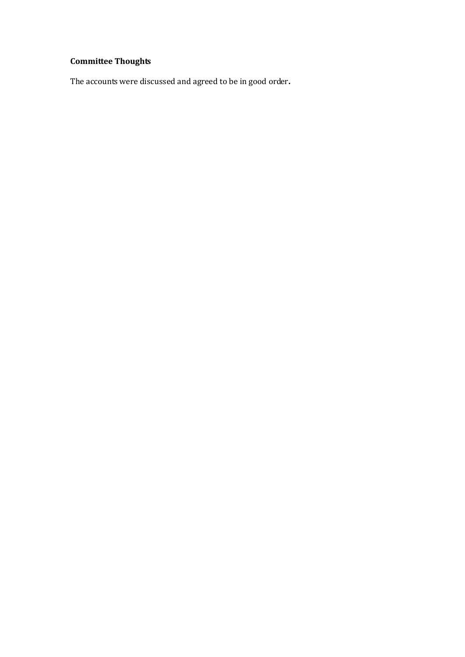# **Committee Thoughts**

The accounts were discussed and agreed to be in good order**.**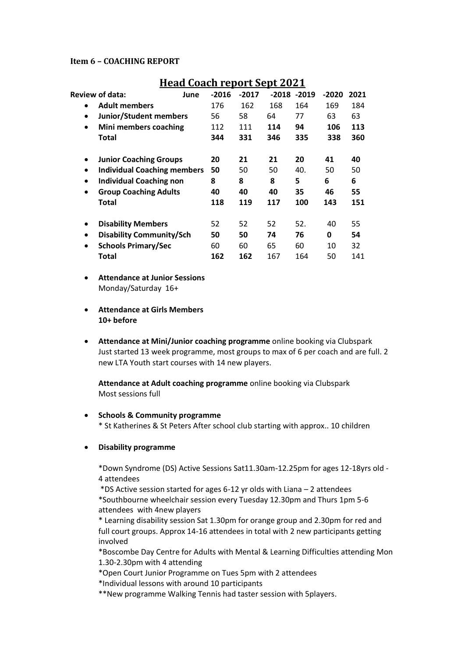#### **Item 6 – COACHING REPORT**

|           | <u> Hau Guach Fepul Coept 2021</u> |         |         |     |                |         |      |
|-----------|------------------------------------|---------|---------|-----|----------------|---------|------|
|           | <b>Review of data:</b><br>June     | $-2016$ | $-2017$ |     | $-2018 - 2019$ | $-2020$ | 2021 |
| $\bullet$ | <b>Adult members</b>               | 176     | 162     | 168 | 164            | 169     | 184  |
| $\bullet$ | <b>Junior/Student members</b>      | 56      | 58      | 64  | 77             | 63      | 63   |
| $\bullet$ | Mini members coaching              | 112     | 111     | 114 | 94             | 106     | 113  |
|           | Total                              | 344     | 331     | 346 | 335            | 338     | 360  |
| $\bullet$ | <b>Junior Coaching Groups</b>      | 20      | 21      | 21  | 20             | 41      | 40   |
| $\bullet$ | <b>Individual Coaching members</b> | 50      | 50      | 50  | 40.            | 50      | 50   |
| $\bullet$ | <b>Individual Coaching non</b>     | 8       | 8       | 8   | 5              | 6       | 6    |
| $\bullet$ | <b>Group Coaching Adults</b>       | 40      | 40      | 40  | 35             | 46      | 55   |
|           | Total                              | 118     | 119     | 117 | 100            | 143     | 151  |
| $\bullet$ | <b>Disability Members</b>          | 52      | 52      | 52  | 52.            | 40      | 55   |
| $\bullet$ | <b>Disability Community/Sch</b>    | 50      | 50      | 74  | 76             | 0       | 54   |
| $\bullet$ | <b>Schools Primary/Sec</b>         | 60      | 60      | 65  | 60             | 10      | 32   |
|           | Total                              | 162     | 162     | 167 | 164            | 50      | 141  |

# **Head Coach report Sept 2021**

- **Attendance at Junior Sessions** Monday/Saturday 16+
- **Attendance at Girls Members 10+ before**
- **Attendance at Mini/Junior coaching programme** online booking via Clubspark Just started 13 week programme, most groups to max of 6 per coach and are full. 2 new LTA Youth start courses with 14 new players.

**Attendance at Adult coaching programme** online booking via Clubspark Most sessions full

#### **•** Schools & Community programme

\* St Katherines & St Peters After school club starting with approx.. 10 children

#### **Disability programme**

\*Down Syndrome (DS) Active Sessions Sat11.30am-12.25pm for ages 12-18yrs old - 4 attendees

\*DS Active session started for ages 6-12 yr olds with Liana – 2 attendees \*Southbourne wheelchair session every Tuesday 12.30pm and Thurs 1pm 5-6 attendees with 4new players

\* Learning disability session Sat 1.30pm for orange group and 2.30pm for red and full court groups. Approx 14-16 attendees in total with 2 new participants getting involved

\*Boscombe Day Centre for Adults with Mental & Learning Difficulties attending Mon 1.30-2.30pm with 4 attending

\*Open Court Junior Programme on Tues 5pm with 2 attendees

\*Individual lessons with around 10 participants

\*\*New programme Walking Tennis had taster session with 5players.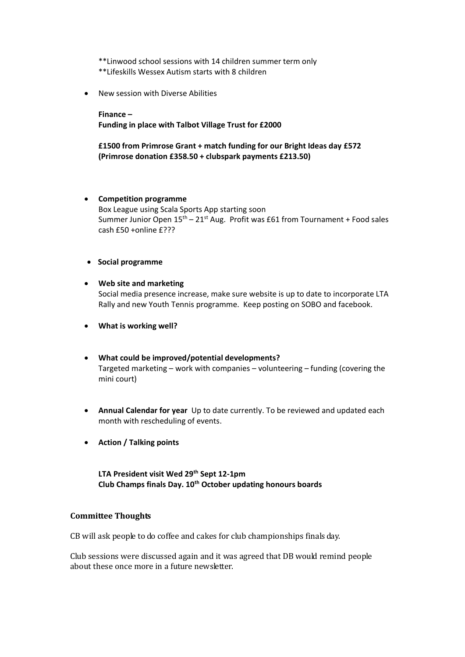\*\*Linwood school sessions with 14 children summer term only \*\*Lifeskills Wessex Autism starts with 8 children

New session with Diverse Abilities

**Finance – Funding in place with Talbot Village Trust for £2000** 

**£1500 from Primrose Grant + match funding for our Bright Ideas day £572 (Primrose donation £358.50 + clubspark payments £213.50)**

#### **Competition programme**

Box League using Scala Sports App starting soon Summer Junior Open  $15<sup>th</sup> - 21<sup>st</sup>$  Aug. Profit was £61 from Tournament + Food sales cash £50 +online £???

#### **•** Social programme

## **Web site and marketing** Social media presence increase, make sure website is up to date to incorporate LTA Rally and new Youth Tennis programme. Keep posting on SOBO and facebook.

- **What is working well?**
- **What could be improved/potential developments?** Targeted marketing – work with companies – volunteering – funding (covering the mini court)
- **Annual Calendar for year** Up to date currently. To be reviewed and updated each month with rescheduling of events.
- **Action / Talking points**

**LTA President visit Wed 29th Sept 12-1pm Club Champs finals Day. 10th October updating honours boards**

## **Committee Thoughts**

CB will ask people to do coffee and cakes for club championships finals day.

Club sessions were discussed again and it was agreed that DB would remind people about these once more in a future newsletter.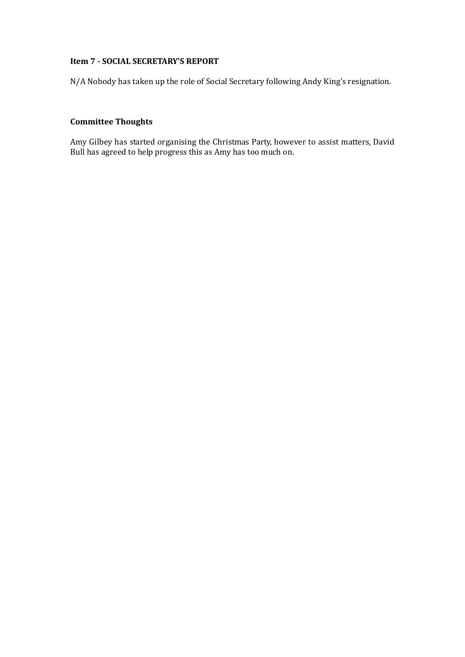## **Item 7 - SOCIAL SECRETARY'S REPORT**

N/A Nobody has taken up the role of Social Secretary following Andy King's resignation.

# **Committee Thoughts**

Amy Gilbey has started organising the Christmas Party, however to assist matters, David Bull has agreed to help progress this as Amy has too much on.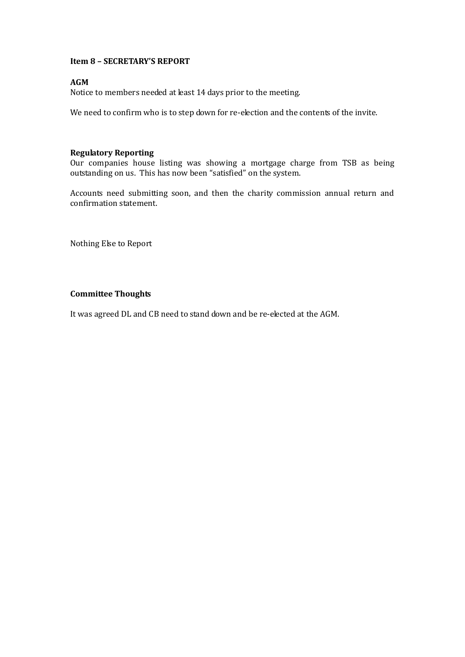### **Item 8 – SECRETARY'S REPORT**

## **AGM**

Notice to members needed at least 14 days prior to the meeting.

We need to confirm who is to step down for re-election and the contents of the invite.

## **Regulatory Reporting**

Our companies house listing was showing a mortgage charge from TSB as being outstanding on us. This has now been "satisfied" on the system.

Accounts need submitting soon, and then the charity commission annual return and confirmation statement.

Nothing Else to Report

#### **Committee Thoughts**

It was agreed DL and CB need to stand down and be re-elected at the AGM.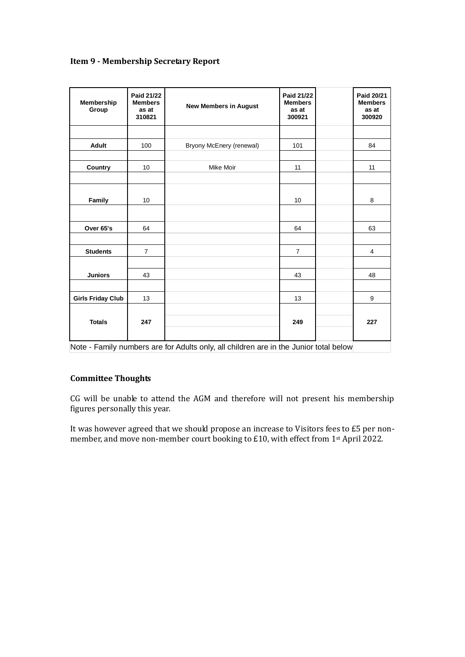|  |  | <b>Item 9 - Membership Secretary Report</b> |  |
|--|--|---------------------------------------------|--|
|  |  |                                             |  |

| Membership<br>Group      | Paid 21/22<br><b>Members</b><br>as at<br>310821 | <b>New Members in August</b> | Paid 21/22<br><b>Members</b><br>as at<br>300921 | Paid 20/21<br><b>Members</b><br>as at<br>300920 |
|--------------------------|-------------------------------------------------|------------------------------|-------------------------------------------------|-------------------------------------------------|
|                          |                                                 |                              |                                                 |                                                 |
| <b>Adult</b>             | 100                                             | Bryony McEnery (renewal)     | 101                                             | 84                                              |
| Country                  | 10                                              | Mike Moir                    | 11                                              | 11                                              |
| Family                   | 10                                              |                              | 10                                              | 8                                               |
| Over 65's                | 64                                              |                              | 64                                              | 63                                              |
|                          |                                                 |                              |                                                 |                                                 |
| <b>Students</b>          | $\overline{7}$                                  |                              | $\overline{7}$                                  | $\overline{4}$                                  |
| <b>Juniors</b>           | 43                                              |                              | 43                                              | 48                                              |
| <b>Girls Friday Club</b> | 13                                              |                              | 13                                              | 9                                               |
| <b>Totals</b>            | 247                                             |                              | 249                                             | 227                                             |

Note - Family numbers are for Adults only, all children are in the Junior total below

# **Committee Thoughts**

CG will be unable to attend the AGM and therefore will not present his membership figures personally this year.

It was however agreed that we should propose an increase to Visitors fees to £5 per nonmember, and move non-member court booking to £10, with effect from 1st April 2022.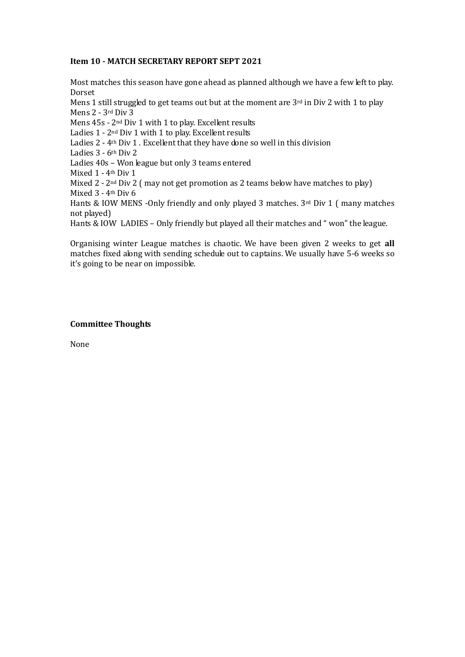#### **Item 10 - MATCH SECRETARY REPORT SEPT 2021**

Most matches this season have gone ahead as planned although we have a few left to play. Dorset

Mens 1 still struggled to get teams out but at the moment are  $3<sup>rd</sup>$  in Div 2 with 1 to play Mens 2 - 3rd Div 3

Mens 45s - 2nd Div 1 with 1 to play. Excellent results

Ladies 1 - 2<sup>nd</sup> Div 1 with 1 to play. Excellent results

Ladies 2 - 4th Div 1 . Excellent that they have done so well in this division

Ladies 3 - 6th Div 2

Ladies 40s – Won league but only 3 teams entered

Mixed 1 - 4th Div 1

Mixed 2 - 2<sup>nd</sup> Div 2 (may not get promotion as 2 teams below have matches to play) Mixed 3 - 4th Div 6

Hants & IOW MENS -Only friendly and only played 3 matches. 3rd Div 1 ( many matches not played)

Hants & IOW LADIES – Only friendly but played all their matches and " won" the league.

Organising winter League matches is chaotic. We have been given 2 weeks to get **all** matches fixed along with sending schedule out to captains. We usually have 5-6 weeks so it's going to be near on impossible.

#### **Committee Thoughts**

None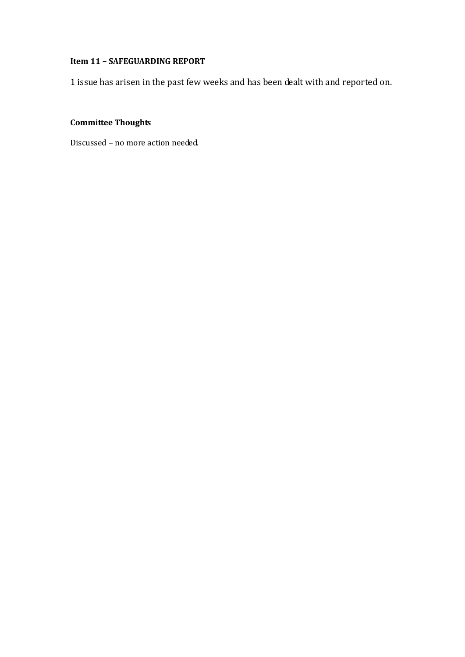# **Item 11 – SAFEGUARDING REPORT**

1 issue has arisen in the past few weeks and has been dealt with and reported on.

# **Committee Thoughts**

Discussed – no more action needed.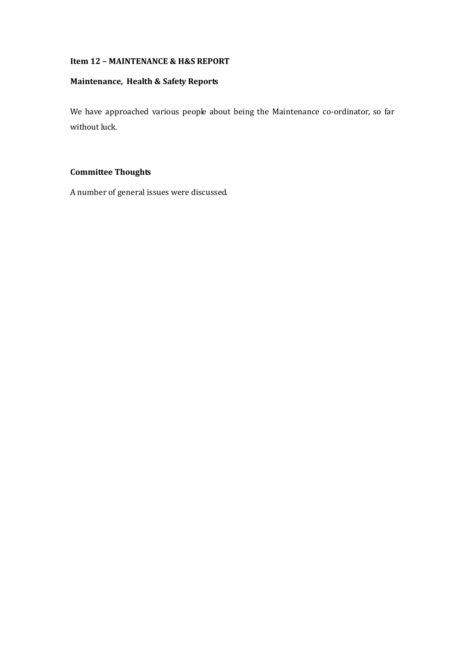## **Item 12 – MAINTENANCE & H&S REPORT**

## **Maintenance, Health & Safety Reports**

We have approached various people about being the Maintenance co-ordinator, so far without luck.

# **Committee Thoughts**

A number of general issues were discussed.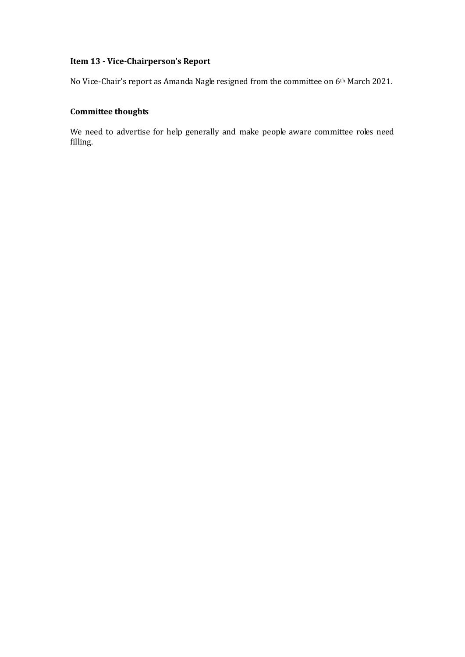# **Item 13 - Vice-Chairperson's Report**

No Vice-Chair's report as Amanda Nagle resigned from the committee on 6th March 2021.

# **Committee thoughts**

We need to advertise for help generally and make people aware committee roles need filling.